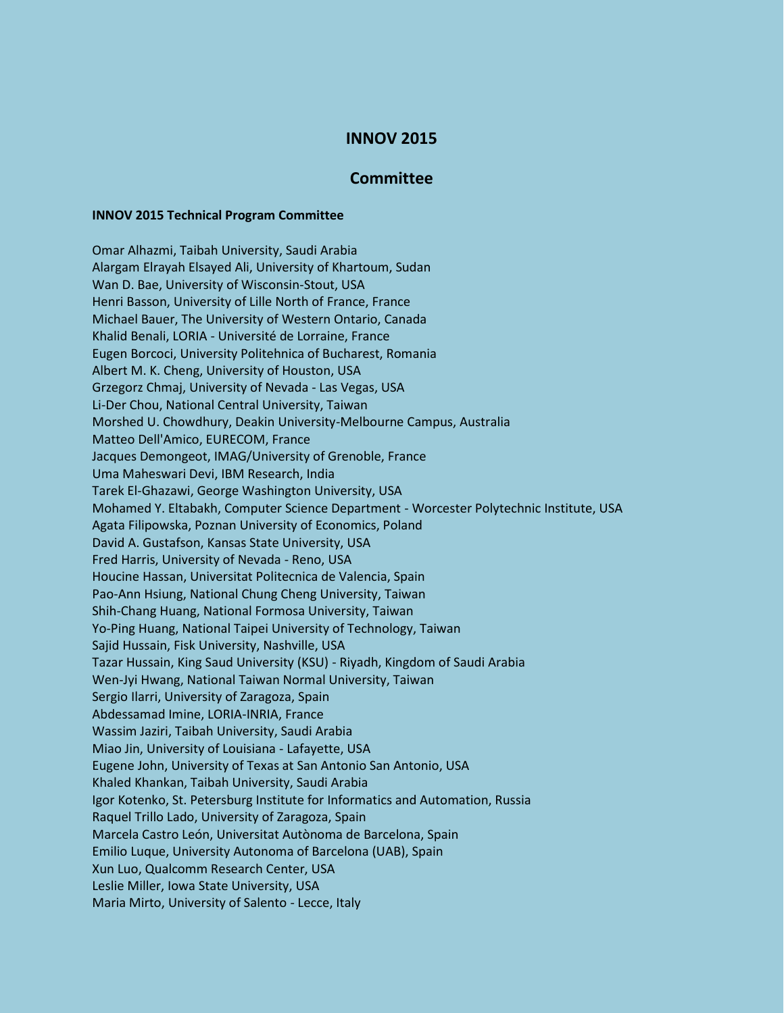## **INNOV 2015**

## **Committee**

## **INNOV 2015 Technical Program Committee**

Omar Alhazmi, Taibah University, Saudi Arabia Alargam Elrayah Elsayed Ali, University of Khartoum, Sudan Wan D. Bae, University of Wisconsin-Stout, USA Henri Basson, University of Lille North of France, France Michael Bauer, The University of Western Ontario, Canada Khalid Benali, LORIA - Université de Lorraine, France Eugen Borcoci, University Politehnica of Bucharest, Romania Albert M. K. Cheng, University of Houston, USA Grzegorz Chmaj, University of Nevada - Las Vegas, USA Li-Der Chou, National Central University, Taiwan Morshed U. Chowdhury, Deakin University-Melbourne Campus, Australia Matteo Dell'Amico, EURECOM, France Jacques Demongeot, IMAG/University of Grenoble, France Uma Maheswari Devi, IBM Research, India Tarek El-Ghazawi, George Washington University, USA Mohamed Y. Eltabakh, Computer Science Department - Worcester Polytechnic Institute, USA Agata Filipowska, Poznan University of Economics, Poland David A. Gustafson, Kansas State University, USA Fred Harris, University of Nevada - Reno, USA Houcine Hassan, Universitat Politecnica de Valencia, Spain Pao-Ann Hsiung, National Chung Cheng University, Taiwan Shih-Chang Huang, National Formosa University, Taiwan Yo-Ping Huang, National Taipei University of Technology, Taiwan Sajid Hussain, Fisk University, Nashville, USA Tazar Hussain, King Saud University (KSU) - Riyadh, Kingdom of Saudi Arabia Wen-Jyi Hwang, National Taiwan Normal University, Taiwan Sergio Ilarri, University of Zaragoza, Spain Abdessamad Imine, LORIA-INRIA, France Wassim Jaziri, Taibah University, Saudi Arabia Miao Jin, University of Louisiana - Lafayette, USA Eugene John, University of Texas at San Antonio San Antonio, USA Khaled Khankan, Taibah University, Saudi Arabia Igor Kotenko, St. Petersburg Institute for Informatics and Automation, Russia Raquel Trillo Lado, University of Zaragoza, Spain Marcela Castro León, Universitat Autònoma de Barcelona, Spain Emilio Luque, University Autonoma of Barcelona (UAB), Spain Xun Luo, Qualcomm Research Center, USA Leslie Miller, Iowa State University, USA Maria Mirto, University of Salento - Lecce, Italy